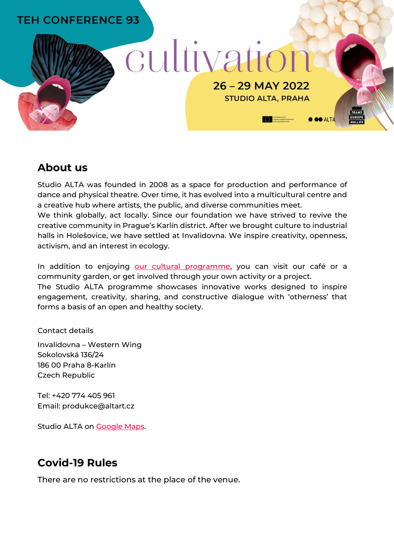## **TEH CONFERENCE 93**

# cultivation

26 - 29 MAY 2022

**STUDIO ALTA, PRAHA** 

Co-funded by the<br>Creative Europe Programme<br>of the European Linion

**O OO ALTA** 

**About us**

Studio ALTA was founded in 2008 as a space for production and performance of dance and physical theatre. Over time, it has evolved into a multicultural centre and a creative hub where artists, the public, and diverse communities meet.

We think globally, act locally. Since our foundation we have strived to revive the creative community in Prague's Karlín district. After we brought culture to industrial halls in Holešovice, we have settled at Invalidovna. We inspire creativity, openness, activism, and an interest in ecology.

In addition to enjoying [our cultural programm](https://www.altart.cz/?lang=en)e, you can visit our café or a community garden, or get involved through your own activity or a project. The Studio ALTA programme showcases innovative works designed to inspire engagement, creativity, sharing, and constructive dialogue with 'otherness' that forms a basis of an open and healthy society.

Contact details

Invalidovna – Western Wing Sokolovská 136/24 186 00 Praha 8-Karlín Czech Republic

Tel: +420 774 405 961 Email: produkce@altart.cz

Studio ALTA on [Google Maps.](https://www.google.com/maps/place/Studio+Alta/@50.0947258,14.4588848,17z/data=!3m1!4b1!4m5!3m4!1s0x470b94c95c6bc18d:0xca3f4b0023658c05!8m2!3d50.0947275!4d14.46108)

## **Covid-19 Rules**

There are no restrictions at the place of the venue.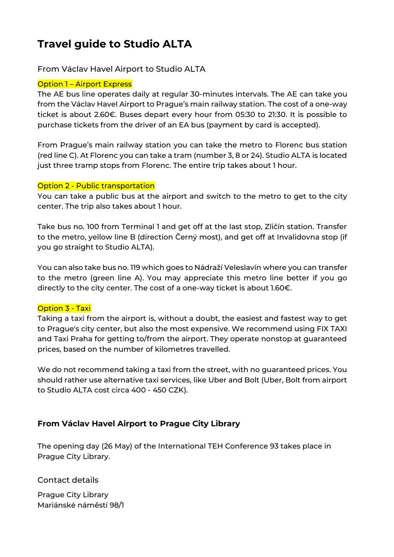# **Travel guide to Studio ALTA**

#### From Václav Havel Airport to Studio ALTA

#### **Option 1 – Airport Express**

The AE bus line operates daily at regular 30-minutes intervals. The AE can take you from the Václav Havel Airport to Prague's main railway station. The cost of a one-way ticket is about 2.60€. Buses depart every hour from 05:30 to 21:30. It is possible to purchase tickets from the driver of an EA bus (payment by card is accepted).

From Prague's main railway station you can take the metro to Florenc bus station (red line C). At Florenc you can take a tram (number 3, 8 or 24). Studio ALTA is located just three tramp stops from Florenc. The entire trip takes about 1 hour.

#### Option 2 - Public transportation

You can take a public bus at the airport and switch to the metro to get to the city center. The trip also takes about 1 hour.

Take bus no. 100 from Terminal 1 and get off at the last stop, Zličín station. Transfer to the metro, yellow line B (direction Černý most), and get off at Invalidovna stop (if you go straight to Studio ALTA).

You can also take bus no. 119 which goes to Nádraží Veleslavín where you can transfer to the metro (green line A). You may appreciate this metro line better if you go directly to the city center. The cost of a one-way ticket is about 1.60€.

#### Option 3 - Taxi

Taking a taxi from the airport is, without a doubt, the easiest and fastest way to get to Prague's city center, but also the most expensive. We recommend using FIX TAXI and Taxi Praha for getting to/from the airport. They operate nonstop at guaranteed prices, based on the number of kilometres travelled.

We do not recommend taking a taxi from the street, with no guaranteed prices. You should rather use alternative taxi services, like Uber and Bolt (Uber, Bolt from airport to Studio ALTA cost circa 400 - 450 CZK).

#### **From Václav Havel Airport to Prague City Library**

The opening day (26 May) of the International TEH Conference 93 takes place in Prague City Library.

Contact details

Prague City Library Mariánské náměstí 98/1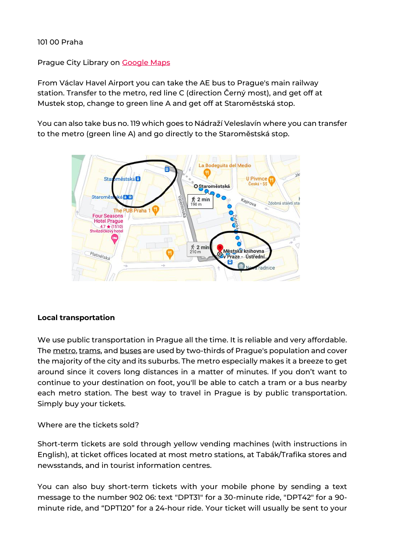#### 101 00 Praha

#### Prague City Library on [Google Maps](https://www.google.com/maps/place/M%C4%9Bstsk%C3%A1+knihovna+v+Praze+-+%C3%9Ast%C5%99edn%C3%AD+knihovna/@50.0874003,14.4151724,17z/data=!3m1!4b1!4m5!3m4!1s0x470b94e8b8139d8f:0xd0becabf9fe74183!8m2!3d50.0873831!4d14.417384)

From Václav Havel Airport you can take the AE bus to Prague's main railway station. Transfer to the metro, red line C (direction Černý most), and get off at Mustek stop, change to green line A and get off at Staroměstská stop.

You can also take bus no. 119 which goes to Nádraží Veleslavín where you can transfer to the metro (green line A) and go directly to the Staroměstská stop.



#### **Local transportation**

We use public transportation in Prague all the time. It is reliable and very affordable. The [metro,](http://www.myczechrepublic.com/prague/prague_metro.html) [trams,](http://www.myczechrepublic.com/prague/trams.html) an[d buses](http://www.myczechrepublic.com/prague/buses.html) are used by two-thirds of Prague's population and cover the majority of the city and its suburbs. The metro especially makes it a breeze to get around since it covers long distances in a matter of minutes. If you don't want to continue to your destination on foot, you'll be able to catch a tram or a bus nearby each metro station. The best way to travel in Prague is by public transportation. Simply buy your tickets.

#### Where are the tickets sold?

Short-term tickets are sold through yellow vending machines (with instructions in English), at ticket offices located at most metro stations, at Tabák/Trafika stores and newsstands, and in tourist information centres.

You can also buy short-term tickets with your mobile phone by sending a text message to the number 902 06: text "DPT31" for a 30-minute ride, "DPT42" for a 90 minute ride, and "DPT120" for a 24-hour ride. Your ticket will usually be sent to your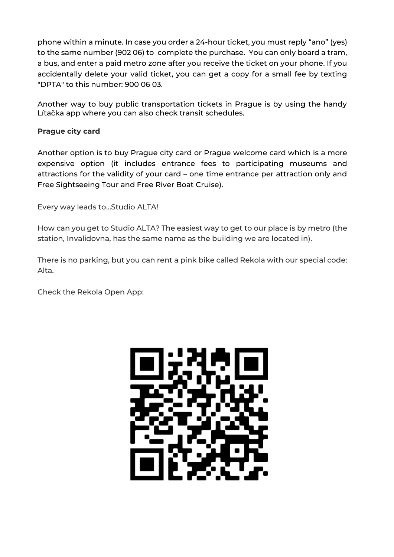phone within a minute. In case you order a 24-hour ticket, you must reply "ano" (yes) to the same number (902 06) to complete the purchase. You can only board a tram, a bus, and enter a paid metro zone after you receive the ticket on your phone. If you accidentally delete your valid ticket, you can get a copy for a small fee by texting "DPTA" to this number: 900 06 03.

Another way to buy public transportation tickets in Prague is by using the handy Lítačka app where you can also check transit schedules.

#### **Prague city card**

Another option is to buy Prague city card or Prague welcome card which is a more expensive option (it includes entrance fees to participating museums and attractions for the validity of your card – one time entrance per attraction only and Free Sightseeing Tour and Free River Boat Cruise).

Every way leads to…Studio ALTA!

How can you get to Studio ALTA? The easiest way to get to our place is by metro (the station, Invalidovna, has the same name as the building we are located in).

There is no parking, but you can rent a pink bike called Rekola with our special code: Alta.

Check the Rekola Open App:

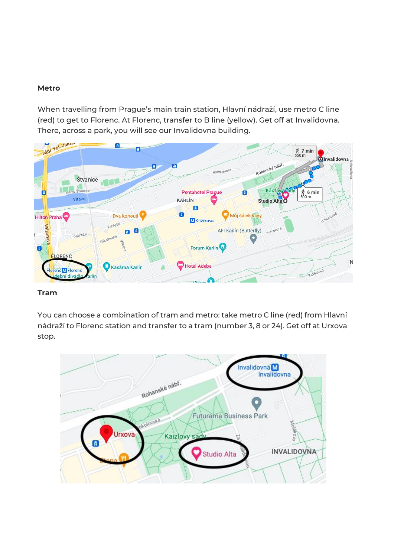#### **Metro**

When travelling from Prague's main train station, Hlavní nádraží, use metro C line (red) to get to Florenc. At Florenc, transfer to B line (yellow). Get off at Invalidovna. There, across a park, you will see our Invalidovna building.



#### **Tram**

You can choose a combination of tram and metro: take metro C line (red) from Hlavní nádraží to Florenc station and transfer to a tram (number 3, 8 or 24). Get off at Urxova stop.

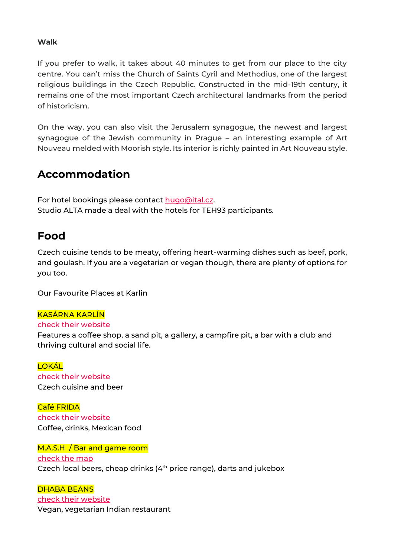#### **Walk**

If you prefer to walk, it takes about 40 minutes to get from our place to the city centre. You can't miss the Church of Saints Cyril and Methodius, one of the largest religious buildings in the Czech Republic. Constructed in the mid-19th century, it remains one of the most important Czech architectural landmarks from the period of historicism.

On the way, you can also visit the Jerusalem synagogue, the newest and largest synagogue of the Jewish community in Prague – an interesting example of Art Nouveau melded with Moorish style. Its interior is richly painted in Art Nouveau style.

## **Accommodation**

For hotel bookings please contact [hugo@ital.cz.](mailto:hugo@ital.cz) Studio ALTA made a deal with the hotels for TEH93 participants.

### **Food**

Czech cuisine tends to be meaty, offering heart-warming dishes such as beef, pork, and goulash. If you are a vegetarian or vegan though, there are plenty of options for you too.

Our Favourite Places at Karlin

#### KASÁRNA KARLÍN

#### [check their website](https://www.kasarnakarlin.cz/en/taxonomy/term/7)

Features a coffee shop, a sand pit, a gallery, a campfire pit, a bar with a club and thriving cultural and social life.

**LOKÁL** [check their website](https://lokal-hamburk.ambi.cz/en/) Czech cuisine and beer

Café FRIDA [check their website](https://cafefrida.cz/?lang=en) Coffee, drinks, Mexican food

M.A.S.H / Bar and game room [check the map](https://www.google.com/maps/place/Herna+M.+A.+S.+H./@50.0950975,14.4546002,17z/data=!3m1!4b1!4m5!3m4!1s0x470b95ffa62c6a35:0x846d914ba133d7dc!8m2!3d50.0950975!4d14.4567936) Czech local beers, cheap drinks (4<sup>th</sup> price range), darts and jukebox

#### DHABA BEANS

[check their website](https://dhababeas.cz/en/) Vegan, vegetarian Indian restaurant